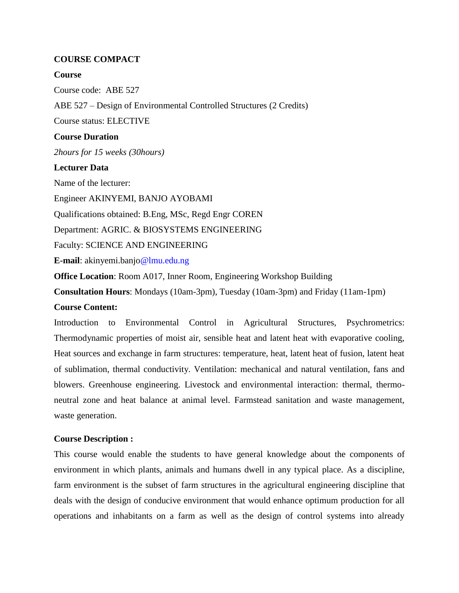# **COURSE COMPACT**

### **Course**

Course code: ABE 527 ABE 527 – Design of Environmental Controlled Structures (2 Credits) Course status: ELECTIVE **Course Duration** *2hours for 15 weeks (30hours)* **Lecturer Data** Name of the lecturer: Engineer AKINYEMI, BANJO AYOBAMI Qualifications obtained: B.Eng, MSc, Regd Engr COREN Department: AGRIC. & BIOSYSTEMS ENGINEERING Faculty: SCIENCE AND ENGINEERING **E-mail**: akinyemi.banjo@lmu.edu.ng **Office Location**: Room A017, Inner Room, Engineering Workshop Building

**Consultation Hours**: Mondays (10am-3pm), Tuesday (10am-3pm) and Friday (11am-1pm)

# **Course Content:**

Introduction to Environmental Control in Agricultural Structures, Psychrometrics: Thermodynamic properties of moist air, sensible heat and latent heat with evaporative cooling, Heat sources and exchange in farm structures: temperature, heat, latent heat of fusion, latent heat of sublimation, thermal conductivity. Ventilation: mechanical and natural ventilation, fans and blowers. Greenhouse engineering. Livestock and environmental interaction: thermal, thermoneutral zone and heat balance at animal level. Farmstead sanitation and waste management, waste generation.

### **Course Description :**

This course would enable the students to have general knowledge about the components of environment in which plants, animals and humans dwell in any typical place. As a discipline, farm environment is the subset of farm structures in the agricultural engineering discipline that deals with the design of conducive environment that would enhance optimum production for all operations and inhabitants on a farm as well as the design of control systems into already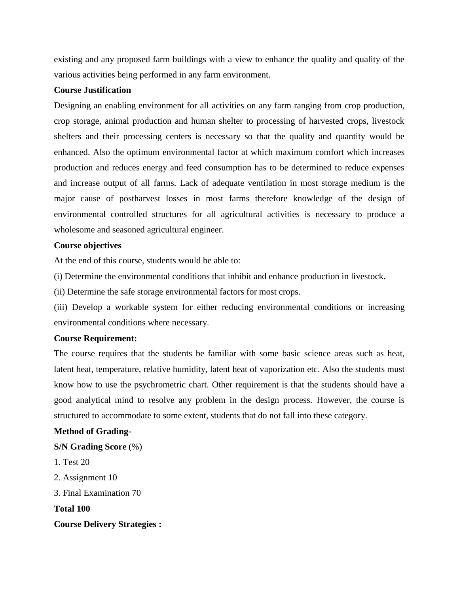existing and any proposed farm buildings with a view to enhance the quality and quality of the various activities being performed in any farm environment.

### **Course Justification**

Designing an enabling environment for all activities on any farm ranging from crop production, crop storage, animal production and human shelter to processing of harvested crops, livestock shelters and their processing centers is necessary so that the quality and quantity would be enhanced. Also the optimum environmental factor at which maximum comfort which increases production and reduces energy and feed consumption has to be determined to reduce expenses and increase output of all farms. Lack of adequate ventilation in most storage medium is the major cause of postharvest losses in most farms therefore knowledge of the design of environmental controlled structures for all agricultural activities is necessary to produce a wholesome and seasoned agricultural engineer.

### **Course objectives**

At the end of this course, students would be able to:

(i) Determine the environmental conditions that inhibit and enhance production in livestock.

(ii) Determine the safe storage environmental factors for most crops.

(iii) Develop a workable system for either reducing environmental conditions or increasing environmental conditions where necessary.

### **Course Requirement:**

The course requires that the students be familiar with some basic science areas such as heat, latent heat, temperature, relative humidity, latent heat of vaporization etc. Also the students must know how to use the psychrometric chart. Other requirement is that the students should have a good analytical mind to resolve any problem in the design process. However, the course is structured to accommodate to some extent, students that do not fall into these category.

### **Method of Grading-**

## **S/N Grading Score** (%)

1. Test 20

- 2. Assignment 10
- 3. Final Examination 70

**Total 100**

**Course Delivery Strategies :**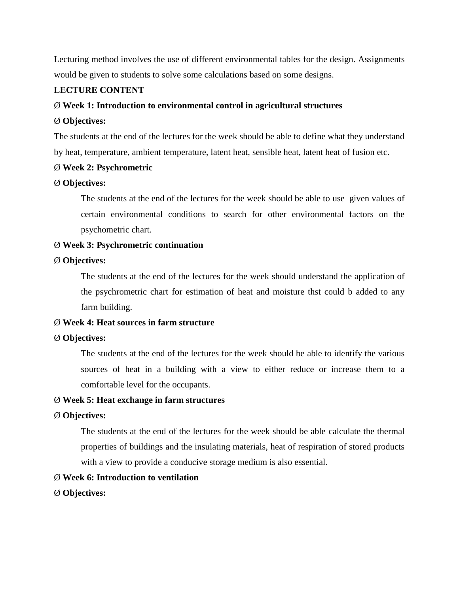Lecturing method involves the use of different environmental tables for the design. Assignments would be given to students to solve some calculations based on some designs.

# **LECTURE CONTENT**

### Ø **Week 1: Introduction to environmental control in agricultural structures**

#### Ø **Objectives:**

The students at the end of the lectures for the week should be able to define what they understand by heat, temperature, ambient temperature, latent heat, sensible heat, latent heat of fusion etc.

### Ø **Week 2: Psychrometric**

### Ø **Objectives:**

The students at the end of the lectures for the week should be able to use given values of certain environmental conditions to search for other environmental factors on the psychometric chart.

### Ø **Week 3: Psychrometric continuation**

#### Ø **Objectives:**

The students at the end of the lectures for the week should understand the application of the psychrometric chart for estimation of heat and moisture thst could b added to any farm building.

# Ø **Week 4: Heat sources in farm structure**

### Ø **Objectives:**

The students at the end of the lectures for the week should be able to identify the various sources of heat in a building with a view to either reduce or increase them to a comfortable level for the occupants.

### Ø **Week 5: Heat exchange in farm structures**

#### Ø **Objectives:**

The students at the end of the lectures for the week should be able calculate the thermal properties of buildings and the insulating materials, heat of respiration of stored products with a view to provide a conducive storage medium is also essential.

### Ø **Week 6: Introduction to ventilation**

### Ø **Objectives:**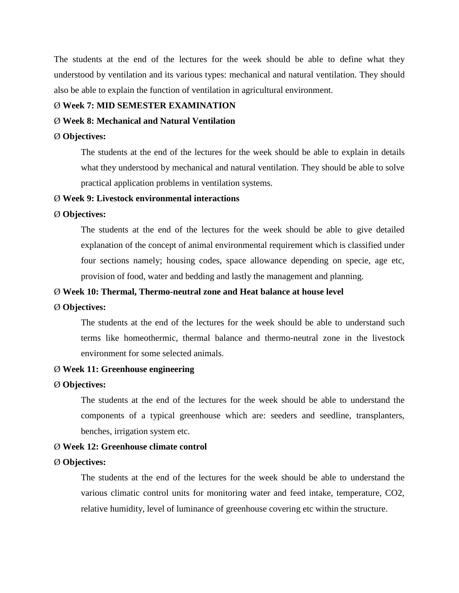The students at the end of the lectures for the week should be able to define what they understood by ventilation and its various types: mechanical and natural ventilation. They should also be able to explain the function of ventilation in agricultural environment.

#### Ø **Week 7: MID SEMESTER EXAMINATION**

#### Ø **Week 8: Mechanical and Natural Ventilation**

#### Ø **Objectives:**

The students at the end of the lectures for the week should be able to explain in details what they understood by mechanical and natural ventilation. They should be able to solve practical application problems in ventilation systems.

# Ø **Week 9: Livestock environmental interactions**

#### Ø **Objectives:**

The students at the end of the lectures for the week should be able to give detailed explanation of the concept of animal environmental requirement which is classified under four sections namely; housing codes, space allowance depending on specie, age etc, provision of food, water and bedding and lastly the management and planning.

#### Ø **Week 10: Thermal, Thermo-neutral zone and Heat balance at house level**

#### Ø **Objectives:**

The students at the end of the lectures for the week should be able to understand such terms like homeothermic, thermal balance and thermo-neutral zone in the livestock environment for some selected animals.

#### Ø **Week 11: Greenhouse engineering**

#### Ø **Objectives:**

The students at the end of the lectures for the week should be able to understand the components of a typical greenhouse which are: seeders and seedline, transplanters, benches, irrigation system etc.

#### Ø **Week 12: Greenhouse climate control**

#### Ø **Objectives:**

The students at the end of the lectures for the week should be able to understand the various climatic control units for monitoring water and feed intake, temperature, CO2, relative humidity, level of luminance of greenhouse covering etc within the structure.